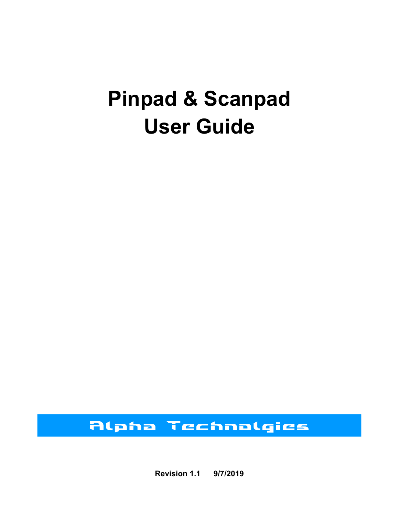# **Pinpad & Scanpad User Guide**

# *Alpha Technolgies*

**Revision 1.1 9/7/2019**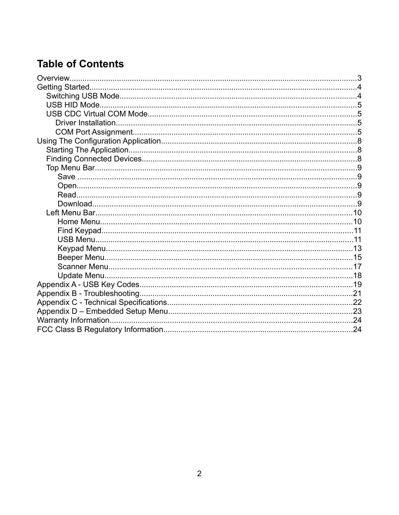### **Table of Contents**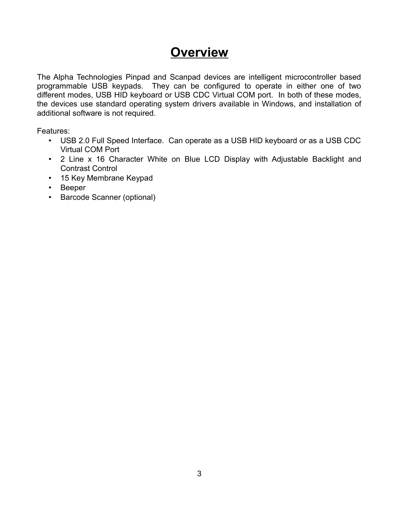### **Overview**

The Alpha Technologies Pinpad and Scanpad devices are intelligent microcontroller based programmable USB keypads. They can be configured to operate in either one of two different modes, USB HID keyboard or USB CDC Virtual COM port. In both of these modes, the devices use standard operating system drivers available in Windows, and installation of additional software is not required.

Features:

- USB 2.0 Full Speed Interface. Can operate as a USB HID keyboard or as a USB CDC Virtual COM Port
- 2 Line x 16 Character White on Blue LCD Display with Adjustable Backlight and Contrast Control
- 15 Key Membrane Keypad
- Beeper
- Barcode Scanner (optional)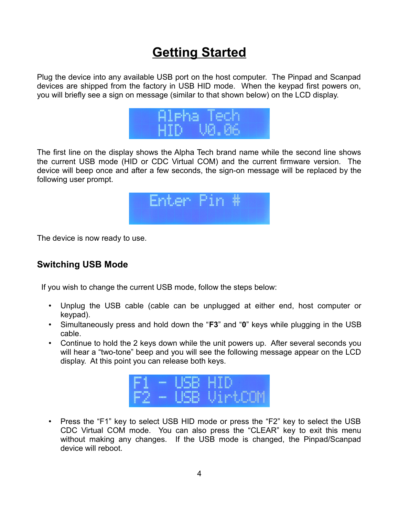# **Getting Started**

Plug the device into any available USB port on the host computer. The Pinpad and Scanpad devices are shipped from the factory in USB HID mode. When the keypad first powers on, you will briefly see a sign on message (similar to that shown below) on the LCD display.



The first line on the display shows the Alpha Tech brand name while the second line shows the current USB mode (HID or CDC Virtual COM) and the current firmware version. The device will beep once and after a few seconds, the sign-on message will be replaced by the following user prompt.



The device is now ready to use.

#### **Switching USB Mode**

If you wish to change the current USB mode, follow the steps below:

- Unplug the USB cable (cable can be unplugged at either end, host computer or keypad).
- Simultaneously press and hold down the "**F3**" and "**0**" keys while plugging in the USB cable.
- Continue to hold the 2 keys down while the unit powers up. After several seconds you will hear a "two-tone" beep and you will see the following message appear on the LCD display. At this point you can release both keys.



• Press the "F1" key to select USB HID mode or press the "F2" key to select the USB CDC Virtual COM mode. You can also press the "CLEAR" key to exit this menu without making any changes. If the USB mode is changed, the Pinpad/Scanpad device will reboot.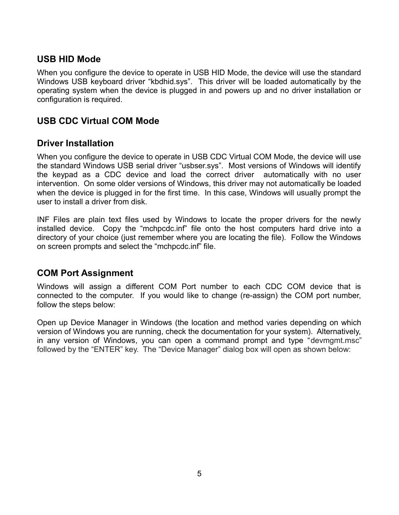#### **USB HID Mode**

When you configure the device to operate in USB HID Mode, the device will use the standard Windows USB keyboard driver "kbdhid.sys". This driver will be loaded automatically by the operating system when the device is plugged in and powers up and no driver installation or configuration is required.

#### **USB CDC Virtual COM Mode**

#### **Driver Installation**

When you configure the device to operate in USB CDC Virtual COM Mode, the device will use the standard Windows USB serial driver "usbser.sys". Most versions of Windows will identify the keypad as a CDC device and load the correct driver automatically with no user intervention. On some older versions of Windows, this driver may not automatically be loaded when the device is plugged in for the first time. In this case, Windows will usually prompt the user to install a driver from disk.

INF Files are plain text files used by Windows to locate the proper drivers for the newly installed device. Copy the "mchpcdc.inf" file onto the host computers hard drive into a directory of your choice (just remember where you are locating the file). Follow the Windows on screen prompts and select the "mchpcdc.inf" file.

#### **COM Port Assignment**

Windows will assign a different COM Port number to each CDC COM device that is connected to the computer. If you would like to change (re-assign) the COM port number, follow the steps below:

Open up Device Manager in Windows (the location and method varies depending on which version of Windows you are running, check the documentation for your system). Alternatively, in any version of Windows, you can open a command prompt and type "devmgmt.msc" followed by the "ENTER" key. The "Device Manager" dialog box will open as shown below: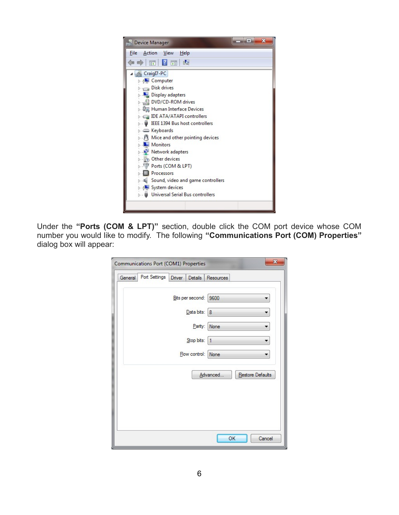

Under the **"Ports (COM & LPT)"** section, double click the COM port device whose COM number you would like to modify. The following **"Communications Port (COM) Properties"** dialog box will appear:

|         | Communications Port (COM1) Properties |        |                  | $\mathbf{x}$                 |
|---------|---------------------------------------|--------|------------------|------------------------------|
| General | Port Settings                         | Driver | Details          | Resources                    |
|         |                                       |        | Bits per second: | 9600                         |
|         |                                       |        | Data bits: 8     |                              |
|         |                                       |        | Parity:          | None                         |
|         |                                       |        | Stop bits:       | $\mathbf{1}$                 |
|         |                                       |        | Flow control:    | None                         |
|         |                                       |        |                  | Advanced<br>Restore Defaults |
|         |                                       |        |                  |                              |
|         |                                       |        |                  |                              |
|         |                                       |        |                  | OK<br>Cancel                 |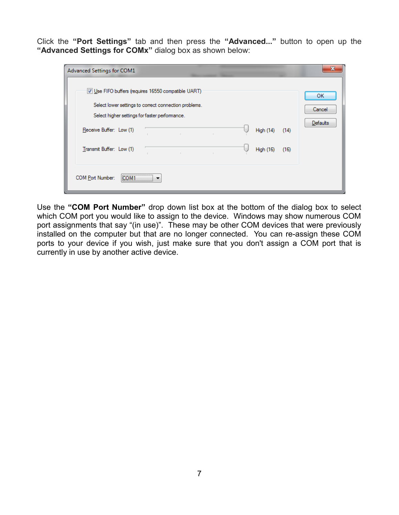Click the **"Port Settings"** tab and then press the **"Advanced..."** button to open up the **"Advanced Settings for COMx"** dialog box as shown below:

| Advanced Settings for COM1                                                                                                                                                                                   |                                 |
|--------------------------------------------------------------------------------------------------------------------------------------------------------------------------------------------------------------|---------------------------------|
| Use FIFO buffers (requires 16550 compatible UART)<br>Select lower settings to correct connection problems.<br>Select higher settings for faster performance.<br>Receive Buffer: Low (1)<br>High (14)<br>(14) | ОК<br>Cancel<br><b>Defaults</b> |
| Transmit Buffer: Low (1)<br><b>High (16)</b><br>(16)<br>$\mathbb{R}^n$                                                                                                                                       |                                 |
| ,<br>COM Port Number:<br>COM <sup>1</sup><br>                                                                                                                                                                |                                 |

Use the **"COM Port Number"** drop down list box at the bottom of the dialog box to select which COM port you would like to assign to the device. Windows may show numerous COM port assignments that say "(in use)". These may be other COM devices that were previously installed on the computer but that are no longer connected. You can re-assign these COM ports to your device if you wish, just make sure that you don't assign a COM port that is currently in use by another active device.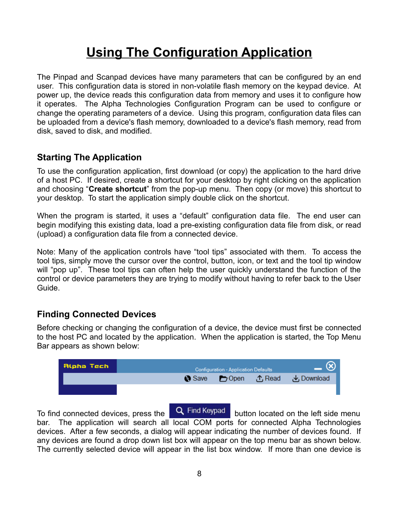# **Using The Configuration Application**

The Pinpad and Scanpad devices have many parameters that can be configured by an end user. This configuration data is stored in non-volatile flash memory on the keypad device. At power up, the device reads this configuration data from memory and uses it to configure how it operates. The Alpha Technologies Configuration Program can be used to configure or change the operating parameters of a device. Using this program, configuration data files can be uploaded from a device's flash memory, downloaded to a device's flash memory, read from disk, saved to disk, and modified.

#### **Starting The Application**

To use the configuration application, first download (or copy) the application to the hard drive of a host PC. If desired, create a shortcut for your desktop by right clicking on the application and choosing "**Create shortcut**" from the pop-up menu. Then copy (or move) this shortcut to your desktop. To start the application simply double click on the shortcut.

When the program is started, it uses a "default" configuration data file. The end user can begin modifying this existing data, load a pre-existing configuration data file from disk, or read (upload) a configuration data file from a connected device.

Note: Many of the application controls have "tool tips" associated with them. To access the tool tips, simply move the cursor over the control, button, icon, or text and the tool tip window will "pop up". These tool tips can often help the user quickly understand the function of the control or device parameters they are trying to modify without having to refer back to the User Guide.

#### **Finding Connected Devices**

Before checking or changing the configuration of a device, the device must first be connected to the host PC and located by the application. When the application is started, the Top Menu Bar appears as shown below:

| Alpha Tech | Configuration - Application Defaults |  |                                 |
|------------|--------------------------------------|--|---------------------------------|
|            |                                      |  | ● Save ● Open ① Read → Download |
|            |                                      |  |                                 |

To find connected devices, press the  $\begin{bmatrix} \mathsf{Q} \end{bmatrix}$  Find Keypad button located on the left side menu bar. The application will search all local COM ports for connected Alpha Technologies devices. After a few seconds, a dialog will appear indicating the number of devices found. If any devices are found a drop down list box will appear on the top menu bar as shown below. The currently selected device will appear in the list box window. If more than one device is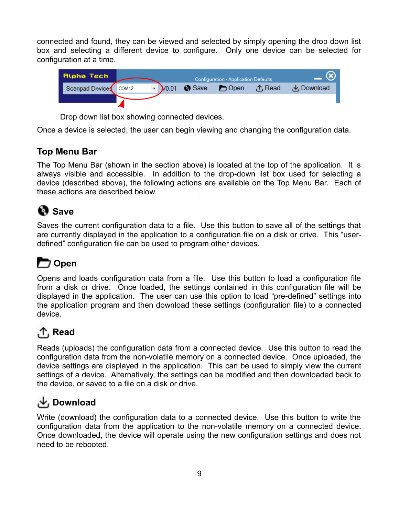connected and found, they can be viewed and selected by simply opening the drop down list box and selecting a different device to configure. Only one device can be selected for configuration at a time.



Drop down list box showing connected devices.

Once a device is selected, the user can begin viewing and changing the configuration data.

#### **Top Menu Bar**

The Top Menu Bar (shown in the section above) is located at the top of the application. It is always visible and accessible. In addition to the drop-down list box used for selecting a device (described above), the following actions are available on the Top Menu Bar. Each of these actions are described below.

### **B** Save

Saves the current configuration data to a file. Use this button to save all of the settings that are currently displayed in the application to a configuration file on a disk or drive. This "userdefined" configuration file can be used to program other devices.

### **Open**

Opens and loads configuration data from a file. Use this button to load a configuration file from a disk or drive. Once loaded, the settings contained in this configuration file will be displayed in the application. The user can use this option to load "pre-defined" settings into the application program and then download these settings (configuration file) to a connected device.

### **Read**

Reads (uploads) the configuration data from a connected device. Use this button to read the configuration data from the non-volatile memory on a connected device. Once uploaded, the device settings are displayed in the application. This can be used to simply view the current settings of a device. Alternatively, the settings can be modified and then downloaded back to the device, or saved to a file on a disk or drive.

### **Download**

Write (download) the configuration data to a connected device. Use this button to write the configuration data from the application to the non-volatile memory on a connected device. Once downloaded, the device will operate using the new configuration settings and does not need to be rebooted.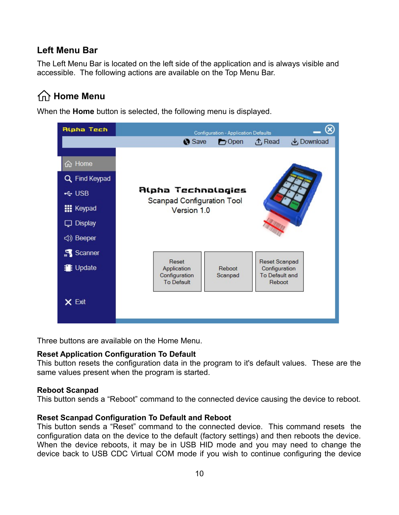#### **Left Menu Bar**

The Left Menu Bar is located on the left side of the application and is always visible and accessible. The following actions are available on the Top Menu Bar.

### **Transflute** Menu

When the **Home** button is selected, the following menu is displayed.



Three buttons are available on the Home Menu.

#### **Reset Application Configuration To Default**

This button resets the configuration data in the program to it's default values. These are the same values present when the program is started.

#### **Reboot Scanpad**

This button sends a "Reboot" command to the connected device causing the device to reboot.

#### **Reset Scanpad Configuration To Default and Reboot**

This button sends a "Reset" command to the connected device. This command resets the configuration data on the device to the default (factory settings) and then reboots the device. When the device reboots, it may be in USB HID mode and you may need to change the device back to USB CDC Virtual COM mode if you wish to continue configuring the device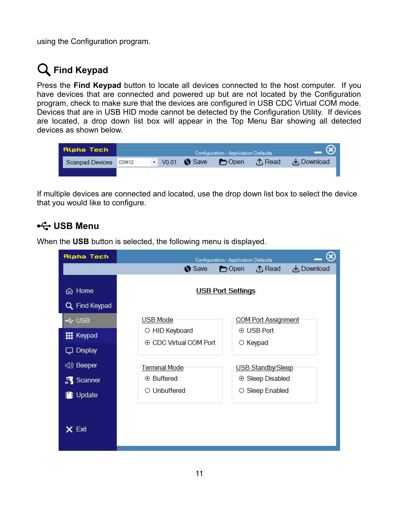using the Configuration program.

## **Find Keypad**

Press the **Find Keypad** button to locate all devices connected to the host computer. If you have devices that are connected and powered up but are not located by the Configuration program, check to make sure that the devices are configured in USB CDC Virtual COM mode. Devices that are in USB HID mode cannot be detected by the Configuration Utility. If devices are located, a drop down list box will appear in the Top Menu Bar showing all detected devices as shown below.

| Alpha Tech            | — (x)<br><b>Configuration - Application Defaults</b> |  |  |  |  |                                         |
|-----------------------|------------------------------------------------------|--|--|--|--|-----------------------------------------|
| Scanpad Devices COM12 |                                                      |  |  |  |  | • V0.01 Save Dopen ① Read July Download |
|                       |                                                      |  |  |  |  |                                         |

If multiple devices are connected and located, use the drop down list box to select the device that you would like to configure.

### <del>•←</del> USB Menu

When the **USB** button is selected, the following menu is displayed.

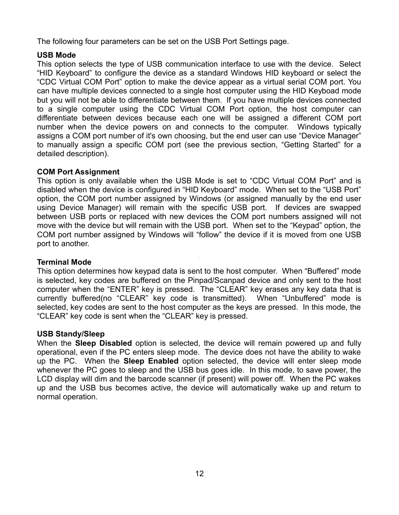The following four parameters can be set on the USB Port Settings page.

#### **USB Mode**

This option selects the type of USB communication interface to use with the device. Select "HID Keyboard" to configure the device as a standard Windows HID keyboard or select the "CDC Virtual COM Port" option to make the device appear as a virtual serial COM port. You can have multiple devices connected to a single host computer using the HID Keyboad mode but you will not be able to differentiate between them. If you have multiple devices connected to a single computer using the CDC Virtual COM Port option, the host computer can differentiate between devices because each one will be assigned a different COM port number when the device powers on and connects to the computer. Windows typically assigns a COM port number of it's own choosing, but the end user can use "Device Manager" to manually assign a specific COM port (see the previous section, "Getting Started" for a detailed description).

#### **COM Port Assignment**

This option is only available when the USB Mode is set to "CDC Virtual COM Port" and is disabled when the device is configured in "HID Keyboard" mode. When set to the "USB Port" option, the COM port number assigned by Windows (or assigned manually by the end user using Device Manager) will remain with the specific USB port. If devices are swapped between USB ports or replaced with new devices the COM port numbers assigned will not move with the device but will remain with the USB port. When set to the "Keypad" option, the COM port number assigned by Windows will "follow" the device if it is moved from one USB port to another.

#### **Terminal Mode**

This option determines how keypad data is sent to the host computer. When "Buffered" mode is selected, key codes are buffered on the Pinpad/Scanpad device and only sent to the host computer when the "ENTER" key is pressed. The "CLEAR" key erases any key data that is currently buffered(no "CLEAR" key code is transmitted). When "Unbuffered" mode is selected, key codes are sent to the host computer as the keys are pressed. In this mode, the "CLEAR" key code is sent when the "CLEAR" key is pressed.

#### **USB Standy/Sleep**

When the **Sleep Disabled** option is selected, the device will remain powered up and fully operational, even if the PC enters sleep mode. The device does not have the ability to wake up the PC. When the **Sleep Enabled** option selected, the device will enter sleep mode whenever the PC goes to sleep and the USB bus goes idle. In this mode, to save power, the LCD display will dim and the barcode scanner (if present) will power off. When the PC wakes up and the USB bus becomes active, the device will automatically wake up and return to normal operation.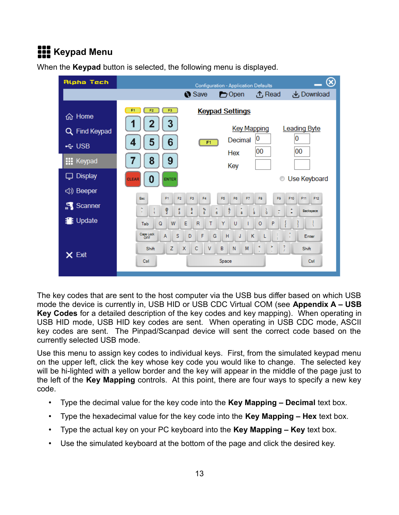# **REP** Keypad Menu



When the **Keypad** button is selected, the following menu is displayed.

The key codes that are sent to the host computer via the USB bus differ based on which USB mode the device is currently in, USB HID or USB CDC Virtual COM (see **Appendix A – USB Key Codes** for a detailed description of the key codes and key mapping). When operating in USB HID mode, USB HID key codes are sent. When operating in USB CDC mode, ASCII key codes are sent. The Pinpad/Scanpad device will sent the correct code based on the currently selected USB mode.

Use this menu to assign key codes to individual keys. First, from the simulated keypad menu on the upper left, click the key whose key code you would like to change. The selected key will be hi-lighted with a yellow border and the key will appear in the middle of the page just to the left of the **Key Mapping** controls. At this point, there are four ways to specify a new key code.

- Type the decimal value for the key code into the **Key Mapping Decimal** text box.
- Type the hexadecimal value for the key code into the **Key Mapping Hex** text box.
- Type the actual key on your PC keyboard into the **Key Mapping Key** text box.
- Use the simulated keyboard at the bottom of the page and click the desired key.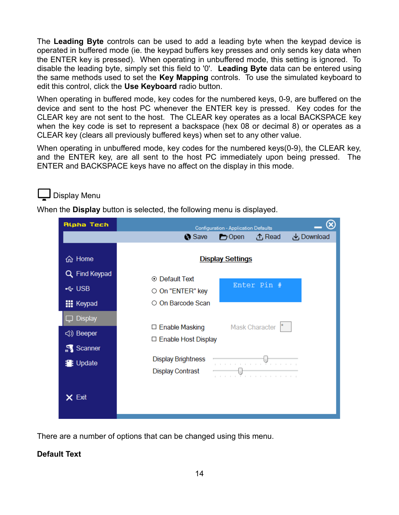The **Leading Byte** controls can be used to add a leading byte when the keypad device is operated in buffered mode (ie. the keypad buffers key presses and only sends key data when the ENTER key is pressed). When operating in unbuffered mode, this setting is ignored. To disable the leading byte, simply set this field to '0'. **Leading Byte** data can be entered using the same methods used to set the **Key Mapping** controls. To use the simulated keyboard to edit this control, click the **Use Keyboard** radio button.

When operating in buffered mode, key codes for the numbered keys, 0-9, are buffered on the device and sent to the host PC whenever the ENTER key is pressed. Key codes for the CLEAR key are not sent to the host. The CLEAR key operates as a local BACKSPACE key when the key code is set to represent a backspace (hex 08 or decimal 8) or operates as a CLEAR key (clears all previously buffered keys) when set to any other value.

When operating in unbuffered mode, key codes for the numbered keys(0-9), the CLEAR key, and the ENTER key, are all sent to the host PC immediately upon being pressed. The ENTER and BACKSPACE keys have no affect on the display in this mode.

### Display Menu

When the **Display** button is selected, the following menu is displayed.

| Alpha Tech        | $\infty$<br><b>Configuration - Application Defaults</b>               |
|-------------------|-----------------------------------------------------------------------|
|                   | Save<br>$\bigcirc$ Open<br><b>①</b> Read<br>Download ک                |
|                   |                                                                       |
| 命 Home            | <b>Display Settings</b>                                               |
| Q Find Keypad     | ⊙ Default Text                                                        |
| ← USB             | Enter Pin #<br>O On "ENTER" key                                       |
| <b>III</b> Keypad | ○ On Barcode Scan                                                     |
| <b>Display</b>    | Mask Character                                                        |
| <(1) Beeper       | $\Box$ Enable Masking<br>□ Enable Host Display                        |
| Scanner           |                                                                       |
| <b>P</b> : Update | <b>Display Brightness</b><br>1 1 1 1 1 1 1 1 1 <sup>7</sup> 1 1 1 1 1 |
|                   | <b>Display Contrast</b><br>T                                          |
| $\times$ Exit     |                                                                       |

There are a number of options that can be changed using this menu.

#### **Default Text**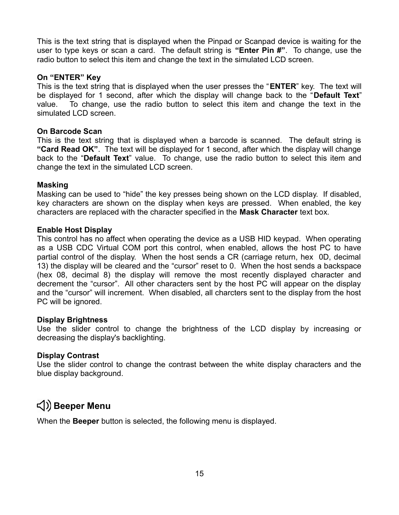This is the text string that is displayed when the Pinpad or Scanpad device is waiting for the user to type keys or scan a card. The default string is **"Enter Pin #"**. To change, use the radio button to select this item and change the text in the simulated LCD screen.

#### **On "ENTER" Key**

This is the text string that is displayed when the user presses the "**ENTER**" key. The text will be displayed for 1 second, after which the display will change back to the "**Default Text**" value. To change, use the radio button to select this item and change the text in the simulated LCD screen.

#### **On Barcode Scan**

This is the text string that is displayed when a barcode is scanned. The default string is **"Card Read OK"**. The text will be displayed for 1 second, after which the display will change back to the "**Default Text**" value. To change, use the radio button to select this item and change the text in the simulated LCD screen.

#### **Masking**

Masking can be used to "hide" the key presses being shown on the LCD display. If disabled, key characters are shown on the display when keys are pressed. When enabled, the key characters are replaced with the character specified in the **Mask Character** text box.

#### **Enable Host Display**

This control has no affect when operating the device as a USB HID keypad. When operating as a USB CDC Virtual COM port this control, when enabled, allows the host PC to have partial control of the display. When the host sends a CR (carriage return, hex 0D, decimal 13) the display will be cleared and the "cursor" reset to 0. When the host sends a backspace (hex 08, decimal 8) the display will remove the most recently displayed character and decrement the "cursor". All other characters sent by the host PC will appear on the display and the "cursor" will increment. When disabled, all charcters sent to the display from the host PC will be ignored.

#### **Display Brightness**

Use the slider control to change the brightness of the LCD display by increasing or decreasing the display's backlighting.

#### **Display Contrast**

Use the slider control to change the contrast between the white display characters and the blue display background.

### **Beeper Menu**

When the **Beeper** button is selected, the following menu is displayed.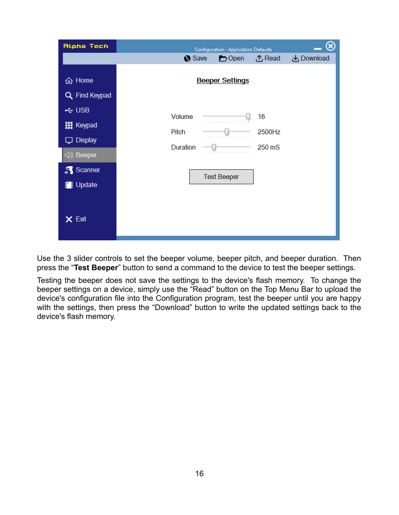| Alpha Tech                                   |                 | Configuration - Application Defaults |              | ⊗                 |
|----------------------------------------------|-----------------|--------------------------------------|--------------|-------------------|
|                                              | Save            | $\bigcirc$ Open                      | ① Read       | <b>と</b> Download |
| 命 Home<br>Q Find Keypad                      |                 | <b>Beeper Settings</b>               |              |                   |
| ← USB<br><b>III</b> Keypad<br>$\Box$ Display | Volume<br>Pitch | .<br>ر بر بر بر بر آن بر بر بر بر بر | 16<br>2500Hz |                   |
| <(1) Beeper                                  | Duration        | <b>,</b> .                           | 250 mS       |                   |
| Scanner<br><b>書</b> : Update                 |                 | <b>Test Beeper</b>                   |              |                   |
| $\times$ Exit                                |                 |                                      |              |                   |

Use the 3 slider controls to set the beeper volume, beeper pitch, and beeper duration. Then press the "**Test Beeper**" button to send a command to the device to test the beeper settings.

Testing the beeper does not save the settings to the device's flash memory. To change the beeper settings on a device, simply use the "Read" button on the Top Menu Bar to upload the device's configuration file into the Configuration program, test the beeper until you are happy with the settings, then press the "Download" button to write the updated settings back to the device's flash memory.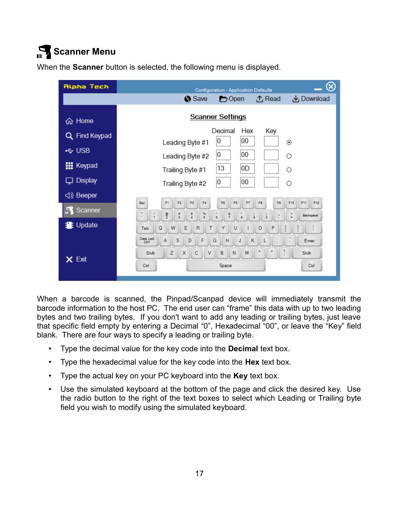# **Scanner Menu**

| Alpha Tech        | $\otimes$<br><b>Configuration - Application Defaults</b>                                                                                                                                                      |  |  |  |  |  |
|-------------------|---------------------------------------------------------------------------------------------------------------------------------------------------------------------------------------------------------------|--|--|--|--|--|
|                   | <b>と</b> Download<br>Save<br>① Read<br>$\bigcirc$ Open                                                                                                                                                        |  |  |  |  |  |
| <b>命 Home</b>     | <b>Scanner Settings</b>                                                                                                                                                                                       |  |  |  |  |  |
| Q Find Keypad     | Decimal<br>Hex<br>Key<br>00<br>0<br>Leading Byte #1<br>◉                                                                                                                                                      |  |  |  |  |  |
| ← USB             | 0<br>00<br>$\circ$<br>Leading Byte #2                                                                                                                                                                         |  |  |  |  |  |
| <b>III</b> Keypad | $ 13\rangle$<br> 0D <br>Ω<br>Trailing Byte #1                                                                                                                                                                 |  |  |  |  |  |
| $\Box$ Display    | $\overline{\mathbf{0}}$<br>00<br>$\circ$<br>Trailing Byte #2                                                                                                                                                  |  |  |  |  |  |
| √) Beeper         |                                                                                                                                                                                                               |  |  |  |  |  |
| Scanner           | F12<br>F3<br>F4<br>F5<br>F10<br>F11<br>Esc.<br>F1<br>F <sub>2</sub><br>F6<br>F7<br>F8<br>F9<br>$\frac{\Theta}{2}$<br>$\frac{8}{4}$<br>$\frac{96}{5}$<br>$\frac{8}{7}$<br>$\frac{4}{3}$<br>Å<br>÷<br>Backspace |  |  |  |  |  |
| <b>書</b> : Update | t<br>ó<br>è<br>8<br>6<br>Q<br>W<br>E<br>$\mathsf{R}$<br>Y<br>$\circ$<br>P<br>т<br>U<br>Tab                                                                                                                    |  |  |  |  |  |
| X Exit            | Caps Lock<br>S<br>F<br>A<br>G<br>Н<br>D<br>К<br>J<br>Enter<br>orr.<br>$\frac{7}{l}$<br>ĸ<br>×<br>z<br>c<br>B<br>X<br>V<br>N<br>M<br>Shift<br>Shift<br>Space<br>Ctrl<br>Ctrl                                   |  |  |  |  |  |

When the **Scanner** button is selected, the following menu is displayed.

When a barcode is scanned, the Pinpad/Scanpad device will immediately transmit the barcode information to the host PC. The end user can "frame" this data with up to two leading bytes and two trailing bytes. If you don't want to add any leading or trailing bytes, just leave that specific field empty by entering a Decimal "0", Hexadecimal "00", or leave the "Key" field blank. There are four ways to specify a leading or trailing byte.

- Type the decimal value for the key code into the **Decimal** text box.
- Type the hexadecimal value for the key code into the **Hex** text box.
- Type the actual key on your PC keyboard into the **Key** text box.
- Use the simulated keyboard at the bottom of the page and click the desired key. Use the radio button to the right of the text boxes to select which Leading or Trailing byte field you wish to modify using the simulated keyboard.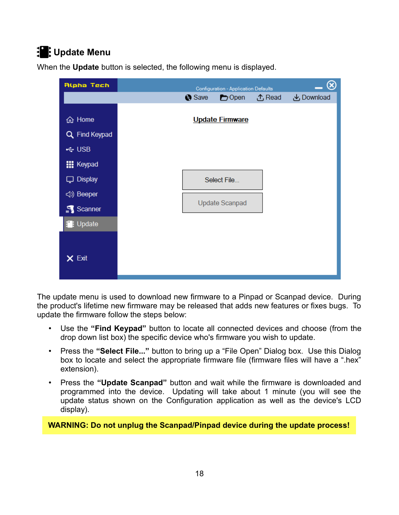### **19:** Update Menu

| Alpha Tech        | $\hat{\mathbf{z}}$<br>Configuration - Application Defaults |                        |               |                   |  |  |
|-------------------|------------------------------------------------------------|------------------------|---------------|-------------------|--|--|
|                   | Save                                                       | $\bigcirc$ Open        | <b>① Read</b> | <b>と</b> Download |  |  |
|                   |                                                            |                        |               |                   |  |  |
| <b>命</b> Home     |                                                            | <b>Update Firmware</b> |               |                   |  |  |
| Q Find Keypad     |                                                            |                        |               |                   |  |  |
| $\div$ USB        |                                                            |                        |               |                   |  |  |
| <b>III</b> Keypad |                                                            |                        |               |                   |  |  |
| $\Box$ Display    |                                                            | Select File            |               |                   |  |  |
| <(1) Beeper       |                                                            |                        |               |                   |  |  |
| Scanner           |                                                            | <b>Update Scanpad</b>  |               |                   |  |  |
| <b>D</b> : Update |                                                            |                        |               |                   |  |  |
| $\times$ Exit     |                                                            |                        |               |                   |  |  |
|                   |                                                            |                        |               |                   |  |  |

When the **Update** button is selected, the following menu is displayed.

The update menu is used to download new firmware to a Pinpad or Scanpad device. During the product's lifetime new firmware may be released that adds new features or fixes bugs. To update the firmware follow the steps below:

- Use the **"Find Keypad"** button to locate all connected devices and choose (from the drop down list box) the specific device who's firmware you wish to update.
- Press the **"Select File..."** button to bring up a "File Open" Dialog box. Use this Dialog box to locate and select the appropriate firmware file (firmware files will have a ".hex" extension).
- Press the **"Update Scanpad"** button and wait while the firmware is downloaded and programmed into the device. Updating will take about 1 minute (you will see the update status shown on the Configuration application as well as the device's LCD display).

**WARNING: Do not unplug the Scanpad/Pinpad device during the update process!**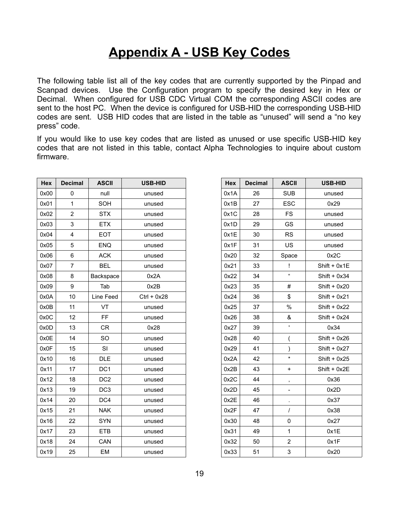### **Appendix A - USB Key Codes**

The following table list all of the key codes that are currently supported by the Pinpad and Scanpad devices. Use the Configuration program to specify the desired key in Hex or Decimal. When configured for USB CDC Virtual COM the corresponding ASCII codes are sent to the host PC. When the device is configured for USB-HID the corresponding USB-HID codes are sent. USB HID codes that are listed in the table as "unused" will send a "no key press" code.

If you would like to use key codes that are listed as unused or use specific USB-HID key codes that are not listed in this table, contact Alpha Technologies to inquire about custom firmware.

| Hex  | <b>Decimal</b> | <b>ASCII</b>    | <b>USB-HID</b> |
|------|----------------|-----------------|----------------|
| 0x00 | $\mathbf 0$    | null            | unused         |
| 0x01 | $\mathbf{1}$   | SOH             | unused         |
| 0x02 | $\overline{2}$ | <b>STX</b>      | unused         |
| 0x03 | 3              | <b>ETX</b>      | unused         |
| 0x04 | $\overline{4}$ | <b>EOT</b>      | unused         |
| 0x05 | 5              | <b>ENQ</b>      | unused         |
| 0x06 | 6              | <b>ACK</b>      | unused         |
| 0x07 | $\overline{7}$ | <b>BEL</b>      | unused         |
| 0x08 | 8              | Backspace       | 0x2A           |
| 0x09 | $9\,$          | Tab             | 0x2B           |
| 0x0A | 10             | Line Feed       | $Ctrl + 0x28$  |
| 0x0B | 11             | VT              | unused         |
| 0x0C | 12             | <b>FF</b>       | unused         |
| 0x0D | 13             | <b>CR</b>       | 0x28           |
| 0x0E | 14             | SO              | unused         |
| 0x0F | 15             | SI              | unused         |
| 0x10 | 16             | <b>DLE</b>      | unused         |
| 0x11 | 17             | DC <sub>1</sub> | unused         |
| 0x12 | 18             | DC <sub>2</sub> | unused         |
| 0x13 | 19             | DC <sub>3</sub> | unused         |
| 0x14 | 20             | DC4             | unused         |
| 0x15 | 21             | <b>NAK</b>      | unused         |
| 0x16 | 22             | <b>SYN</b>      | unused         |
| 0x17 | 23             | <b>ETB</b>      | unused         |
| 0x18 | 24             | CAN             | unused         |
| 0x19 | 25             | EM              | unused         |
|      |                |                 |                |

| Hex<br><b>Decimal</b><br><b>ASCII</b> |    | <b>USB-HID</b> |                |
|---------------------------------------|----|----------------|----------------|
| 0x1A                                  | 26 | <b>SUB</b>     | unused         |
| 0x1B                                  | 27 | <b>ESC</b>     | 0x29           |
| 0x1C                                  | 28 | <b>FS</b>      | unused         |
| 0x1D                                  | 29 | GS             | unused         |
| 0x1E                                  | 30 | <b>RS</b>      | unused         |
| 0x1F                                  | 31 | US.            | unused         |
| 0x20                                  | 32 | Space          | 0x2C           |
| 0x21                                  | 33 | Ţ              | Shift + 0x1E   |
| 0x22                                  | 34 | $\mu$          | $Shift + 0x34$ |
| 0x23                                  | 35 | #              | Shift $+$ 0x20 |
| 0x24                                  | 36 | \$             | $Shift + 0x21$ |
| 0x25                                  | 37 | $\%$           | $Shift + 0x22$ |
| 0x26                                  | 38 | &              | $Shift + 0x24$ |
| 0x27                                  | 39 | ٠              | 0x34           |
| 0x28                                  | 40 | (              | $Shift + 0x26$ |
| 0x29                                  | 41 | )              | $Shift + 0x27$ |
| 0x2A                                  | 42 | $\star$        | $Shift + 0x25$ |
| 0x2B                                  | 43 | +              | $Shift + 0x2E$ |
| 0x2C                                  | 44 | ,              | 0x36           |
| 0x2D                                  | 45 |                | 0x2D           |
| 0x2E                                  | 46 |                | 0x37           |
| 0x2F                                  | 47 | I              | 0x38           |
| 0x30                                  | 48 | 0              | 0x27           |
| 0x31                                  | 49 | 1              | 0x1E           |
| 0x32                                  | 50 | 2              | 0x1F           |
| 0x33                                  | 51 | 3              | 0x20           |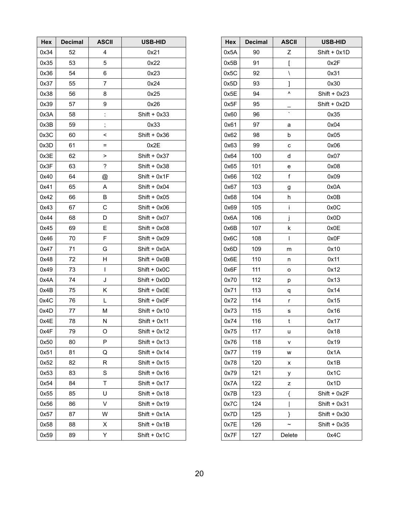| Hex  | <b>Decimal</b> | <b>ASCII</b>             | USB-HID        | Hex  | <b>Decimal</b> | <b>ASCII</b>             | USB-HID        |
|------|----------------|--------------------------|----------------|------|----------------|--------------------------|----------------|
| 0x34 | 52             | 4                        | 0x21           | 0x5A | 90             | Ζ                        | Shift + 0x1D   |
| 0x35 | 53             | $\sqrt{5}$               | 0x22           | 0x5B | 91             | ſ                        | 0x2F           |
| 0x36 | 54             | $\,6\,$                  | 0x23           | 0x5C | 92             | $\lambda$                | 0x31           |
| 0x37 | 55             | $\overline{7}$           | 0x24           | 0x5D | 93             | l                        | 0x30           |
| 0x38 | 56             | 8                        | 0x25           | 0x5E | 94             | ۸                        | Shift + $0x23$ |
| 0x39 | 57             | $\boldsymbol{9}$         | 0x26           | 0x5F | 95             |                          | Shift + 0x2D   |
| 0x3A | 58             | t                        | $Shift + 0x33$ | 0x60 | 96             | $\overline{\phantom{0}}$ | 0x35           |
| 0x3B | 59             | $\vdots$                 | 0x33           | 0x61 | 97             | a                        | 0x04           |
| 0x3C | 60             | $\,<\,$                  | $Shift + 0x36$ | 0x62 | 98             | b                        | 0x05           |
| 0x3D | 61             | $\equiv$                 | 0x2E           | 0x63 | 99             | $\mathbf c$              | 0x06           |
| 0x3E | 62             | $\, > \,$                | $Shift + 0x37$ | 0x64 | 100            | d                        | 0x07           |
| 0x3F | 63             | $\overline{\phantom{a}}$ | $Shift + 0x38$ | 0x65 | 101            | ${\bf e}$                | 0x08           |
| 0x40 | 64             | @                        | $Shift + 0x1F$ | 0x66 | 102            | f                        | 0x09           |
| 0x41 | 65             | A                        | $Shift + 0x04$ | 0x67 | 103            | $\boldsymbol{g}$         | 0x0A           |
| 0x42 | 66             | B                        | $Shift + 0x05$ | 0x68 | 104            | h                        | 0x0B           |
| 0x43 | 67             | $\mathsf C$              | $Shift + 0x06$ | 0x69 | 105            | j.                       | 0x0C           |
| 0x44 | 68             | D                        | $Shift + 0x07$ | 0x6A | 106            | j                        | 0x0D           |
| 0x45 | 69             | Ε                        | $Shift + 0x08$ | 0x6B | 107            | $\sf k$                  | 0x0E           |
| 0x46 | 70             | $\mathsf F$              | $Shift + 0x09$ | 0x6C | 108            | T                        | 0x0F           |
| 0x47 | 71             | G                        | Shift + 0x0A   | 0x6D | 109            | m                        | 0x10           |
| 0x48 | 72             | Н                        | Shift + 0x0B   | 0x6E | 110            | n                        | 0x11           |
| 0x49 | 73             | L                        | Shift + 0x0C   | 0x6F | 111            | $\mathsf{o}$             | 0x12           |
| 0x4A | 74             | J                        | Shift + 0x0D   | 0x70 | 112            | р                        | 0x13           |
| 0x4B | 75             | Κ                        | Shift + 0x0E   | 0x71 | 113            | q                        | 0x14           |
| 0x4C | 76             | L                        | Shift + 0x0F   | 0x72 | 114            | r                        | 0x15           |
| 0x4D | 77             | M                        | $Shift + 0x10$ | 0x73 | 115            | s                        | 0x16           |
| 0x4E | 78             | ${\sf N}$                | $Shift + 0x11$ | 0x74 | 116            | t                        | 0x17           |
| 0x4F | 79             | O                        | $Shift + 0x12$ | 0x75 | 117            | u                        | 0x18           |
| 0x50 | 80             | P                        | $Shift + 0x13$ | 0x76 | 118            | v                        | 0x19           |
| 0x51 | 81             | Q                        | $Shift + 0x14$ | 0x77 | 119            | w                        | 0x1A           |
| 0x52 | 82             | R                        | $Shift + 0x15$ | 0x78 | 120            | X                        | 0x1B           |
| 0x53 | 83             | S                        | $Shift + 0x16$ | 0x79 | 121            | у                        | 0x1C           |
| 0x54 | 84             | Τ                        | $Shift + 0x17$ | 0x7A | 122            | z                        | 0x1D           |
| 0x55 | 85             | U                        | $Shift + 0x18$ | 0x7B | 123            | {                        | Shift + 0x2F   |
| 0x56 | 86             | V                        | $Shift + 0x19$ | 0x7C | 124            |                          | $Shift + 0x31$ |
| 0x57 | 87             | W                        | Shift + 0x1A   | 0x7D | 125            | }                        | Shift $+0x30$  |
| 0x58 | 88             | X                        | $Shift + 0x1B$ | 0x7E | 126            | $\tilde{}$               | Shift + 0x35   |
| 0x59 | 89             | Y                        | $Shift + 0x1C$ | 0x7F | 127            | Delete                   | 0x4C           |
|      |                |                          |                |      |                |                          |                |

| Hex  | <b>Decimal</b> | <b>ASCII</b>             | <b>USB-HID</b> |
|------|----------------|--------------------------|----------------|
| 0x5A | 90             | Ζ                        | Shift + 0x1D   |
| 0x5B | 91             | ſ                        | 0x2F           |
| 0x5C | 92             | $\overline{\phantom{0}}$ | 0x31           |
| 0x5D | 93             | 1                        | 0x30           |
| 0x5E | 94             | ۷                        | $Shift + 0x23$ |
| 0x5F | 95             |                          | Shift + 0x2D   |
| 0x60 | 96             |                          | 0x35           |
| 0x61 | 97             | a                        | 0x04           |
| 0x62 | 98             | b                        | 0x05           |
| 0x63 | 99             | с                        | 0x06           |
| 0x64 | 100            | d                        | 0x07           |
| 0x65 | 101            | е                        | 0x08           |
| 0x66 | 102            | f                        | 0x09           |
| 0x67 | 103            | g                        | 0x0A           |
| 0x68 | 104            | h                        | 0x0B           |
| 0x69 | 105            | i                        | 0x0C           |
| 0x6A | 106            | j                        | 0x0D           |
| 0x6B | 107            | k                        | 0x0E           |
| 0x6C | 108            | L                        | 0x0F           |
| 0x6D | 109            | m                        | 0x10           |
| 0x6E | 110            | n                        | 0x11           |
| 0x6F | 111            | о                        | 0x12           |
| 0x70 | 112            | р                        | 0x13           |
| 0x71 | 113            | q                        | 0x14           |
| 0x72 | 114            | r                        | 0x15           |
| 0x73 | 115            | s                        | 0x16           |
| 0x74 | 116            | t                        | 0x17           |
| 0x75 | 117            | u                        | 0x18           |
| 0x76 | 118            | v                        | 0x19           |
| 0x77 | 119            | W                        | 0x1A           |
| 0x78 | 120            | χ                        | 0x1B           |
| 0x79 | 121            | у                        | 0x1C           |
| 0x7A | 122            | z                        | 0x1D           |
| 0x7B | 123            | {                        | Shift + 0x2F   |
| 0x7C | 124            | I                        | $Shift + 0x31$ |
| 0x7D | 125            | }                        | $Shift + 0x30$ |
| 0x7E | 126            |                          | Shift + 0x35   |
| 0x7F | 127            | Delete                   | 0x4C           |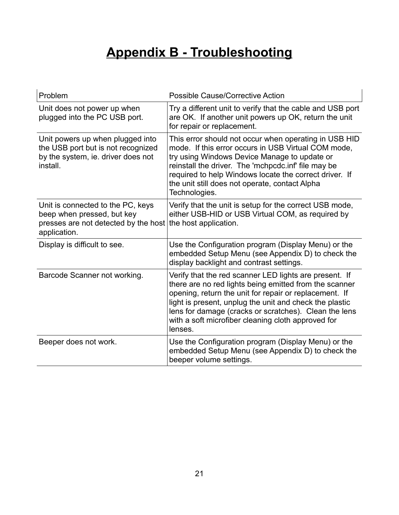# **Appendix B - Troubleshooting**

| Problem                                                                                                                  | <b>Possible Cause/Corrective Action</b>                                                                                                                                                                                                                                                                                                                         |
|--------------------------------------------------------------------------------------------------------------------------|-----------------------------------------------------------------------------------------------------------------------------------------------------------------------------------------------------------------------------------------------------------------------------------------------------------------------------------------------------------------|
| Unit does not power up when<br>plugged into the PC USB port.                                                             | Try a different unit to verify that the cable and USB port<br>are OK. If another unit powers up OK, return the unit<br>for repair or replacement.                                                                                                                                                                                                               |
| Unit powers up when plugged into<br>the USB port but is not recognized<br>by the system, ie. driver does not<br>install. | This error should not occur when operating in USB HID<br>mode. If this error occurs in USB Virtual COM mode,<br>try using Windows Device Manage to update or<br>reinstall the driver. The 'mchpcdc.inf' file may be<br>required to help Windows locate the correct driver. If<br>the unit still does not operate, contact Alpha<br>Technologies.                |
| Unit is connected to the PC, keys<br>beep when pressed, but key<br>presses are not detected by the host<br>application.  | Verify that the unit is setup for the correct USB mode,<br>either USB-HID or USB Virtual COM, as required by<br>the host application.                                                                                                                                                                                                                           |
| Display is difficult to see.                                                                                             | Use the Configuration program (Display Menu) or the<br>embedded Setup Menu (see Appendix D) to check the<br>display backlight and contrast settings.                                                                                                                                                                                                            |
| Barcode Scanner not working.                                                                                             | Verify that the red scanner LED lights are present. If<br>there are no red lights being emitted from the scanner<br>opening, return the unit for repair or replacement. If<br>light is present, unplug the unit and check the plastic<br>lens for damage (cracks or scratches). Clean the lens<br>with a soft microfiber cleaning cloth approved for<br>lenses. |
| Beeper does not work.                                                                                                    | Use the Configuration program (Display Menu) or the<br>embedded Setup Menu (see Appendix D) to check the<br>beeper volume settings.                                                                                                                                                                                                                             |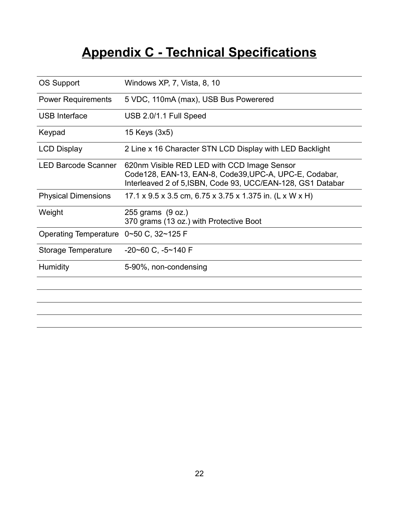# **Appendix C - Technical Specifications**

| OS Support                   | Windows XP, 7, Vista, 8, 10                                                                                                                                          |
|------------------------------|----------------------------------------------------------------------------------------------------------------------------------------------------------------------|
| <b>Power Requirements</b>    | 5 VDC, 110mA (max), USB Bus Powerered                                                                                                                                |
| <b>USB Interface</b>         | USB 2.0/1.1 Full Speed                                                                                                                                               |
| Keypad                       | 15 Keys (3x5)                                                                                                                                                        |
| <b>LCD Display</b>           | 2 Line x 16 Character STN LCD Display with LED Backlight                                                                                                             |
| <b>LED Barcode Scanner</b>   | 620nm Visible RED LED with CCD Image Sensor<br>Code128, EAN-13, EAN-8, Code39, UPC-A, UPC-E, Codabar,<br>Interleaved 2 of 5, ISBN, Code 93, UCC/EAN-128, GS1 Databar |
| <b>Physical Dimensions</b>   | 17.1 x 9.5 x 3.5 cm, 6.75 x 3.75 x 1.375 in. (L x W x H)                                                                                                             |
| Weight                       | 255 grams (9 oz.)<br>370 grams (13 oz.) with Protective Boot                                                                                                         |
| <b>Operating Temperature</b> | $0\neg 50$ C, $32\neg 125$ F                                                                                                                                         |
| Storage Temperature          | $-20$ ~60 C, $-5$ ~140 F                                                                                                                                             |
| <b>Humidity</b>              | 5-90%, non-condensing                                                                                                                                                |
|                              |                                                                                                                                                                      |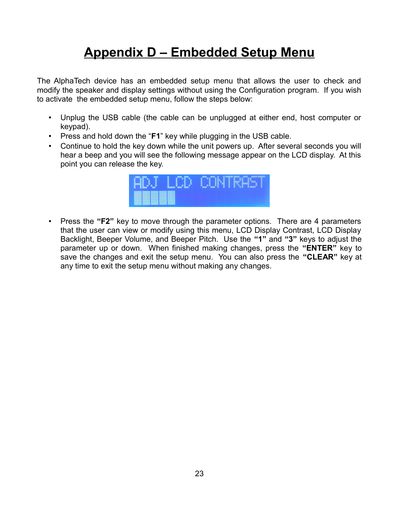# **Appendix D – Embedded Setup Menu**

The AlphaTech device has an embedded setup menu that allows the user to check and modify the speaker and display settings without using the Configuration program. If you wish to activate the embedded setup menu, follow the steps below:

- Unplug the USB cable (the cable can be unplugged at either end, host computer or keypad).
- Press and hold down the "**F1**" key while plugging in the USB cable.
- Continue to hold the key down while the unit powers up. After several seconds you will hear a beep and you will see the following message appear on the LCD display. At this point you can release the key.



• Press the **"F2"** key to move through the parameter options. There are 4 parameters that the user can view or modify using this menu, LCD Display Contrast, LCD Display Backlight, Beeper Volume, and Beeper Pitch. Use the **"1"** and **"3"** keys to adjust the parameter up or down. When finished making changes, press the **"ENTER"** key to save the changes and exit the setup menu. You can also press the **"CLEAR"** key at any time to exit the setup menu without making any changes.